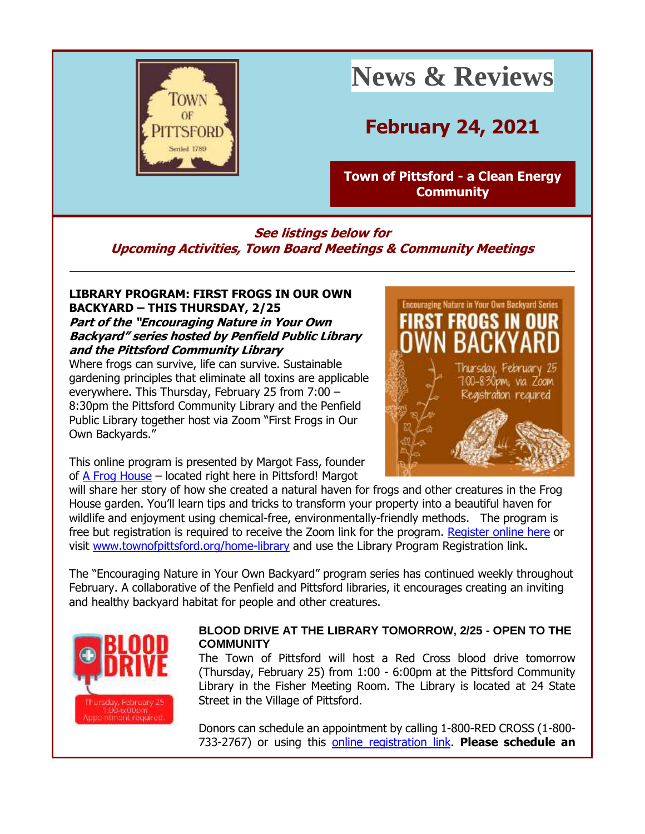

# **News & Reviews**

# **February 24, 2021**

**[Town of Pittsford -](http://r20.rs6.net/tn.jsp?f=001odivNNQ7vWuHnUpd30LdpoIosi8BXWQVl78BW-ObLpk45f7mAHXcS4F8KM5F49CQR7gcVuysRGqKgYwvCV0oev6w_xc05BSiYPkBCDBtcJ6JQYlQmIXdolYTmtZhkV2dZIHNnSha-MmiDbxJVVwteDzjC6vL803t&c=y9sh7mkpeuacBUf7XOf6TdCxnwGflFkeShgxmwICPvS3gG3zhWjrXw==&ch=GWA1XfCcw3aH8a4haHeLH92JYnvoPEkprA9ypLHmGJx7tJKI8PY5Cw==) a Clean Energy [Community](http://r20.rs6.net/tn.jsp?f=001odivNNQ7vWuHnUpd30LdpoIosi8BXWQVl78BW-ObLpk45f7mAHXcS4F8KM5F49CQR7gcVuysRGqKgYwvCV0oev6w_xc05BSiYPkBCDBtcJ6JQYlQmIXdolYTmtZhkV2dZIHNnSha-MmiDbxJVVwteDzjC6vL803t&c=y9sh7mkpeuacBUf7XOf6TdCxnwGflFkeShgxmwICPvS3gG3zhWjrXw==&ch=GWA1XfCcw3aH8a4haHeLH92JYnvoPEkprA9ypLHmGJx7tJKI8PY5Cw==)**

### **See listings below for Upcoming Activities, Town Board Meetings & Community Meetings**

#### **LIBRARY PROGRAM: FIRST FROGS IN OUR OWN BACKYARD – THIS THURSDAY, 2/25 Part of the "Encouraging Nature in Your Own Backyard" series hosted by Penfield Public Library and the Pittsford Community Library**

Where frogs can survive, life can survive. Sustainable gardening principles that eliminate all toxins are applicable everywhere. This Thursday, February 25 from 7:00 – 8:30pm the Pittsford Community Library and the Penfield Public Library together host via Zoom "First Frogs in Our Own Backyards."

This online program is presented by Margot Fass, founder of [A Frog House](http://r20.rs6.net/tn.jsp?f=001odivNNQ7vWuHnUpd30LdpoIosi8BXWQVl78BW-ObLpk45f7mAHXcSwvOLbRsAGvRq9NB3u9mUvBNxM429T5rEcjV2BLPU_IxfbxfycdW1GD7ZUaLVlQ-wdDKyQ4ehm0RfmelSTJ70LaCJ6jJaKGQ5A==&c=y9sh7mkpeuacBUf7XOf6TdCxnwGflFkeShgxmwICPvS3gG3zhWjrXw==&ch=GWA1XfCcw3aH8a4haHeLH92JYnvoPEkprA9ypLHmGJx7tJKI8PY5Cw==) – located right here in Pittsford! Margot



will share her story of how she created a natural haven for frogs and other creatures in the Frog House garden. You'll learn tips and tricks to transform your property into a beautiful haven for wildlife and enjoyment using chemical-free, environmentally-friendly methods. The program is free but registration is required to receive the Zoom link for the program. [Register online here](http://r20.rs6.net/tn.jsp?f=001odivNNQ7vWuHnUpd30LdpoIosi8BXWQVl78BW-ObLpk45f7mAHXcSwvOLbRsAGvRnM4_XX44Okmpz9LEBZdylqXZZ4NXoW5ir-q3-uwGECVAiKO9kioRA0NyiXOshgwwdeFSt-US8VNvbf0r8-7KLcOxSBeBldmhgxa3gE5m1fIElcJBquy2nQ==&c=y9sh7mkpeuacBUf7XOf6TdCxnwGflFkeShgxmwICPvS3gG3zhWjrXw==&ch=GWA1XfCcw3aH8a4haHeLH92JYnvoPEkprA9ypLHmGJx7tJKI8PY5Cw==) or visit [www.townofpittsford.org/home-library](http://r20.rs6.net/tn.jsp?f=001odivNNQ7vWuHnUpd30LdpoIosi8BXWQVl78BW-ObLpk45f7mAHXcS8r_fWgbJp-A0JqMhRFGKf6JkqmMXIq_Fi1E2jzmQQI6xVYmLQ1gkkx_FID4lndi8nGNFInxgkcOeTDMinAdYKjHTzAyMYoVyoYG19dYTyp1J-_iQQuvt1k=&c=y9sh7mkpeuacBUf7XOf6TdCxnwGflFkeShgxmwICPvS3gG3zhWjrXw==&ch=GWA1XfCcw3aH8a4haHeLH92JYnvoPEkprA9ypLHmGJx7tJKI8PY5Cw==) and use the Library Program Registration link.

The "Encouraging Nature in Your Own Backyard" program series has continued weekly throughout February. A collaborative of the Penfield and Pittsford libraries, it encourages creating an inviting and healthy backyard habitat for people and other creatures.



#### **BLOOD DRIVE AT THE LIBRARY TOMORROW, 2/25 - OPEN TO THE COMMUNITY**

The Town of Pittsford will host a Red Cross blood drive tomorrow (Thursday, February 25) from 1:00 - 6:00pm at the Pittsford Community Library in the Fisher Meeting Room. The Library is located at 24 State Street in the Village of Pittsford.

Donors can schedule an appointment by calling 1-800-RED CROSS (1-800- 733-2767) or using this [online registration link.](http://r20.rs6.net/tn.jsp?f=001odivNNQ7vWuHnUpd30LdpoIosi8BXWQVl78BW-ObLpk45f7mAHXcS6Zb9RS_ndzjA7-u4bMCu_W_1j9W9YQ7yu5mt29nK4BlqHw9VvsDdmZuiUs3ZARF1oI2uH5edEwnLWhKvua0usyE4QHpsB5UNyCc7A8L1Q7G_XsFdbComKGp88uc_knqxB_jDUDEifD2egjS0LD4rBwAP81tygZnWR6-5h4QrfnXwmcvsuxKibo=&c=y9sh7mkpeuacBUf7XOf6TdCxnwGflFkeShgxmwICPvS3gG3zhWjrXw==&ch=GWA1XfCcw3aH8a4haHeLH92JYnvoPEkprA9ypLHmGJx7tJKI8PY5Cw==) **Please schedule an**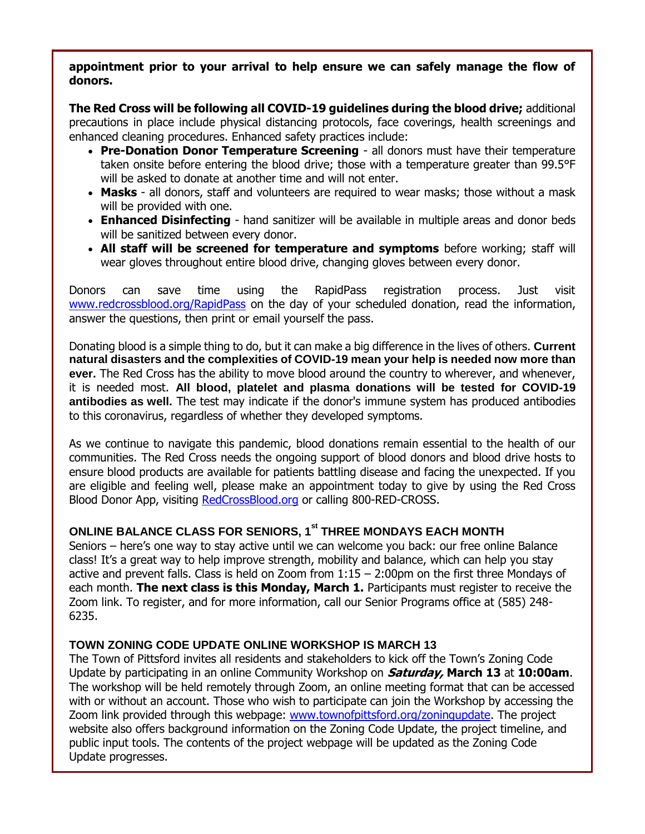#### **appointment prior to your arrival to help ensure we can safely manage the flow of donors.**

**The Red Cross will be following all COVID-19 guidelines during the blood drive;** additional precautions in place include physical distancing protocols, face coverings, health screenings and enhanced cleaning procedures. Enhanced safety practices include:

- **Pre-Donation Donor Temperature Screening** all donors must have their temperature taken onsite before entering the blood drive; those with a temperature greater than 99.5°F will be asked to donate at another time and will not enter.
- **Masks** all donors, staff and volunteers are required to wear masks; those without a mask will be provided with one.
- **Enhanced Disinfecting** hand sanitizer will be available in multiple areas and donor beds will be sanitized between every donor.
- **All staff will be screened for temperature and symptoms** before working; staff will wear gloves throughout entire blood drive, changing gloves between every donor.

Donors can save time using the RapidPass registration process. Just visit [www.redcrossblood.org/RapidPass](http://r20.rs6.net/tn.jsp?f=001odivNNQ7vWuHnUpd30LdpoIosi8BXWQVl78BW-ObLpk45f7mAHXcS7gv5sU1aSjm1QlOzaIt2X88SaczHG4TaqXsqgI056ykyeMNSoHsu8wtDu8Xs4vDEB3BTS458V7i5J7DBjMXDVGE5GwhSs5H0B2wl0sOnLgavVYhk1Pd4u0=&c=y9sh7mkpeuacBUf7XOf6TdCxnwGflFkeShgxmwICPvS3gG3zhWjrXw==&ch=GWA1XfCcw3aH8a4haHeLH92JYnvoPEkprA9ypLHmGJx7tJKI8PY5Cw==) on the day of your scheduled donation, read the information, answer the questions, then print or email yourself the pass.

Donating blood is a simple thing to do, but it can make a big difference in the lives of others. **Current natural disasters and the complexities of COVID-19 mean your help is needed now more than ever.** The Red Cross has the ability to move blood around the country to wherever, and whenever, it is needed most. **All blood, platelet and plasma donations will be tested for COVID-19 antibodies as well.** The test may indicate if the donor's immune system has produced antibodies to this coronavirus, regardless of whether they developed symptoms.

As we continue to navigate this pandemic, blood donations remain essential to the health of our communities. The Red Cross needs the ongoing support of blood donors and blood drive hosts to ensure blood products are available for patients battling disease and facing the unexpected. If you are eligible and feeling well, please make an appointment today to give by using the Red Cross Blood Donor App, visiting [RedCrossBlood.org](http://r20.rs6.net/tn.jsp?f=001odivNNQ7vWuHnUpd30LdpoIosi8BXWQVl78BW-ObLpk45f7mAHXcS0rb4u37z7Xrk2iCI6_PvVnAVXHjSN2BghALxg46loCOUKRR_UMiZq4jQgqa8Vpziveg_nm2pzztCabsMEwDHfDRt3ASPycRVA==&c=y9sh7mkpeuacBUf7XOf6TdCxnwGflFkeShgxmwICPvS3gG3zhWjrXw==&ch=GWA1XfCcw3aH8a4haHeLH92JYnvoPEkprA9ypLHmGJx7tJKI8PY5Cw==) or calling 800-RED-CROSS.

### **ONLINE BALANCE CLASS FOR SENIORS, 1st THREE MONDAYS EACH MONTH**

Seniors – here's one way to stay active until we can welcome you back: our free online Balance class! It's a great way to help improve strength, mobility and balance, which can help you stay active and prevent falls. Class is held on Zoom from 1:15 – 2:00pm on the first three Mondays of each month. **The next class is this Monday, March 1.** Participants must register to receive the Zoom link. To register, and for more information, call our Senior Programs office at (585) 248- 6235.

#### **TOWN ZONING CODE UPDATE ONLINE WORKSHOP IS MARCH 13**

The Town of Pittsford invites all residents and stakeholders to kick off the Town's Zoning Code Update by participating in an online Community Workshop on **Saturday, March 13** at **10:00am**. The workshop will be held remotely through Zoom, an online meeting format that can be accessed with or without an account. Those who wish to participate can join the Workshop by accessing the Zoom link provided through this webpage: www.townofpittsford.org/zoningupdate. The project website also offers background information on the Zoning Code Update, the project timeline, and public input tools. The contents of the project webpage will be updated as the Zoning Code Update progresses.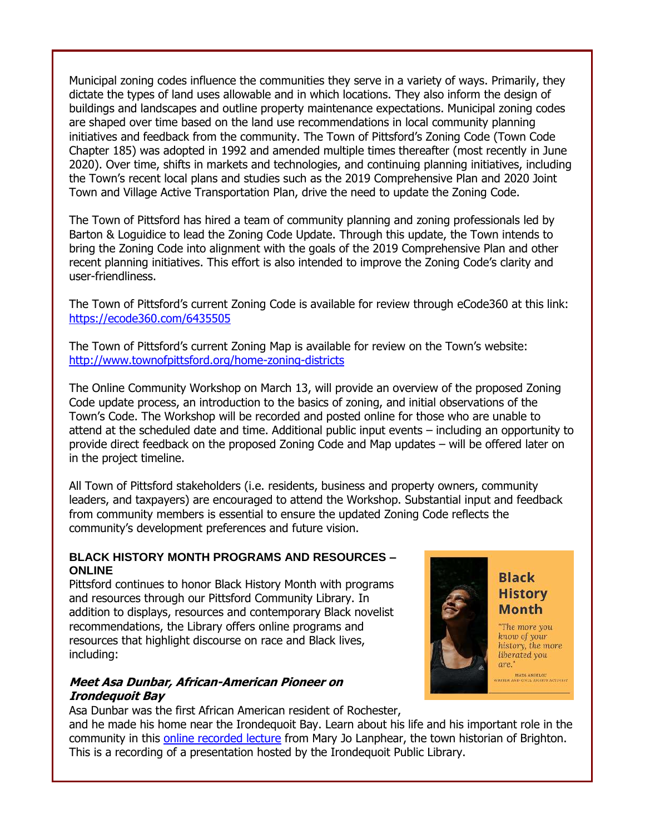Municipal zoning codes influence the communities they serve in a variety of ways. Primarily, they dictate the types of land uses allowable and in which locations. They also inform the design of buildings and landscapes and outline property maintenance expectations. Municipal zoning codes are shaped over time based on the land use recommendations in local community planning initiatives and feedback from the community. The Town of Pittsford's Zoning Code (Town Code Chapter 185) was adopted in 1992 and amended multiple times thereafter (most recently in June 2020). Over time, shifts in markets and technologies, and continuing planning initiatives, including the Town's recent local plans and studies such as the 2019 Comprehensive Plan and 2020 Joint Town and Village Active Transportation Plan, drive the need to update the Zoning Code.

The Town of Pittsford has hired a team of community planning and zoning professionals led by Barton & Loguidice to lead the Zoning Code Update. Through this update, the Town intends to bring the Zoning Code into alignment with the goals of the 2019 Comprehensive Plan and other recent planning initiatives. This effort is also intended to improve the Zoning Code's clarity and user-friendliness.

The Town of Pittsford's current Zoning Code is available for review through eCode360 at this link: [https://ecode360.com/6435505](http://r20.rs6.net/tn.jsp?f=001odivNNQ7vWuHnUpd30LdpoIosi8BXWQVl78BW-ObLpk45f7mAHXcSwvOLbRsAGvRO17i2U4of3vlLjT7IyHEpReAprsvJa8717R4ezObltqZCnAbwhzeePuHxtRUQBrftMV-kdYSUZDSGmxlTOR-XA==&c=y9sh7mkpeuacBUf7XOf6TdCxnwGflFkeShgxmwICPvS3gG3zhWjrXw==&ch=GWA1XfCcw3aH8a4haHeLH92JYnvoPEkprA9ypLHmGJx7tJKI8PY5Cw==)

The Town of Pittsford's current Zoning Map is available for review on the Town's website: [http://www.townofpittsford.org/home-zoning-districts](http://r20.rs6.net/tn.jsp?f=001odivNNQ7vWuHnUpd30LdpoIosi8BXWQVl78BW-ObLpk45f7mAHXcSwvOLbRsAGvR2v-CJ4AgfcKyewyqpgPExmPek12jmEBS_dXi4M0KLFpjcZpQKVJWeEd4MGSHBNtjUgl9eOb6DYVWVoYSeJRvvaF5ktd9AGVj-kHtFmbzAo1kwvwR-VSRsA==&c=y9sh7mkpeuacBUf7XOf6TdCxnwGflFkeShgxmwICPvS3gG3zhWjrXw==&ch=GWA1XfCcw3aH8a4haHeLH92JYnvoPEkprA9ypLHmGJx7tJKI8PY5Cw==)

The Online Community Workshop on March 13, will provide an overview of the proposed Zoning Code update process, an introduction to the basics of zoning, and initial observations of the Town's Code. The Workshop will be recorded and posted online for those who are unable to attend at the scheduled date and time. Additional public input events – including an opportunity to provide direct feedback on the proposed Zoning Code and Map updates – will be offered later on in the project timeline.

All Town of Pittsford stakeholders (i.e. residents, business and property owners, community leaders, and taxpayers) are encouraged to attend the Workshop. Substantial input and feedback from community members is essential to ensure the updated Zoning Code reflects the community's development preferences and future vision.

#### **BLACK HISTORY MONTH PROGRAMS AND RESOURCES – ONLINE**

Pittsford continues to honor Black History Month with programs and resources through our Pittsford Community Library. In addition to displays, resources and contemporary Black novelist recommendations, the Library offers online programs and resources that highlight discourse on race and Black lives, including:

#### **Meet Asa Dunbar, African-American Pioneer on Irondequoit Bay**

Asa Dunbar was the first African American resident of Rochester,

and he made his home near the Irondequoit Bay. Learn about his life and his important role in the community in this [online recorded lecture](http://r20.rs6.net/tn.jsp?f=001odivNNQ7vWuHnUpd30LdpoIosi8BXWQVl78BW-ObLpk45f7mAHXcSwvOLbRsAGvROX5geV32qBBaqluj3g4ImHKTYUW0tMDqzslnLMUb09qYE3plGDcZmVemHeIFnNzk29JqUO3JuHwigpGIzH13cDE_dzArxUJDMcswpbHjmq9DT3uWiEJkQOPsF5Xag1mEI8Ffy2NkW8I=&c=y9sh7mkpeuacBUf7XOf6TdCxnwGflFkeShgxmwICPvS3gG3zhWjrXw==&ch=GWA1XfCcw3aH8a4haHeLH92JYnvoPEkprA9ypLHmGJx7tJKI8PY5Cw==) from Mary Jo Lanphear, the town historian of Brighton. This is a recording of a presentation hosted by the Irondequoit Public Library.



"The more you know of your history, the more liberated you are."

MAYA ANGELOU<br>RITER AND CIVIL RIGHTS ACTIVIST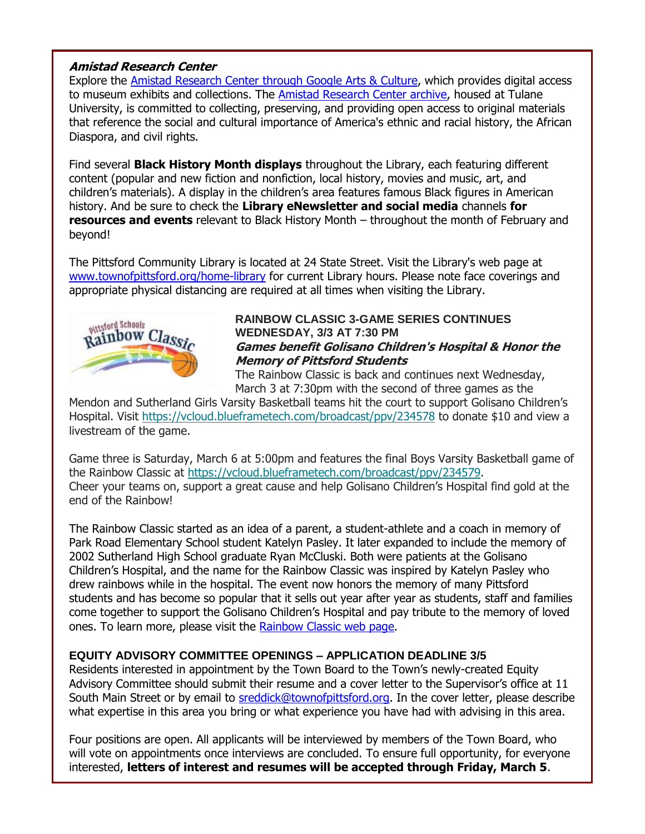#### **Amistad Research Center**

Explore the **Amistad Research Center through Google Arts & Culture**, which provides digital access to museum exhibits and collections. The [Amistad Research Center archive,](http://r20.rs6.net/tn.jsp?f=001odivNNQ7vWuHnUpd30LdpoIosi8BXWQVl78BW-ObLpk45f7mAHXcSwvOLbRsAGvR7JpFvgpuhf_seeM-pPw2-CD_GwKcVw0_Vil8SYe4EEa1ZChMGH6xAa5oiUdOIMAcZZnMZWOMImGxANUqwbnjPl6RVzPqmO8B&c=y9sh7mkpeuacBUf7XOf6TdCxnwGflFkeShgxmwICPvS3gG3zhWjrXw==&ch=GWA1XfCcw3aH8a4haHeLH92JYnvoPEkprA9ypLHmGJx7tJKI8PY5Cw==) housed at Tulane University, is committed to collecting, preserving, and providing open access to original materials that reference the social and cultural importance of America's ethnic and racial history, the African Diaspora, and civil rights.

Find several **Black History Month displays** throughout the Library, each featuring different content (popular and new fiction and nonfiction, local history, movies and music, art, and children's materials). A display in the children's area features famous Black figures in American history. And be sure to check the **Library eNewsletter and social media** channels **for resources and events** relevant to Black History Month – throughout the month of February and beyond!

The Pittsford Community Library is located at 24 State Street. Visit the Library's web page at [www.townofpittsford.org/home-library](http://r20.rs6.net/tn.jsp?f=001odivNNQ7vWuHnUpd30LdpoIosi8BXWQVl78BW-ObLpk45f7mAHXcS8r_fWgbJp-A0JqMhRFGKf6JkqmMXIq_Fi1E2jzmQQI6xVYmLQ1gkkx_FID4lndi8nGNFInxgkcOeTDMinAdYKjHTzAyMYoVyoYG19dYTyp1J-_iQQuvt1k=&c=y9sh7mkpeuacBUf7XOf6TdCxnwGflFkeShgxmwICPvS3gG3zhWjrXw==&ch=GWA1XfCcw3aH8a4haHeLH92JYnvoPEkprA9ypLHmGJx7tJKI8PY5Cw==) for current Library hours. Please note face coverings and appropriate physical distancing are required at all times when visiting the Library.



#### **RAINBOW CLASSIC 3-GAME SERIES CONTINUES WEDNESDAY, 3/3 AT 7:30 PM Games benefit Golisano Children's Hospital & Honor the Memory of Pittsford Students**

The Rainbow Classic is back and continues next Wednesday, March 3 at 7:30pm with the second of three games as the

Mendon and Sutherland Girls Varsity Basketball teams hit the court to support Golisano Children's Hospital. Visit [https://vcloud.blueframetech.com/broadcast/ppv/234578](http://r20.rs6.net/tn.jsp?f=001odivNNQ7vWuHnUpd30LdpoIosi8BXWQVl78BW-ObLpk45f7mAHXcSwvOLbRsAGvRbk36JXqWTAZLZ8mw5cntsR4VWybV72Z7pENrcIC1wdvMFQTECA-NEgFgVtHXAwRFzj0G57yYofAnmeJkeItDRfLGnWap2-D3nLegNPc-vsV9iSjx4jy9w1w3f2CEMKDmgKTpem11Hh8OSaAp_tA4aPAgTrbNwiWRkidvXGDVdXyRSn7vhBmwAuKJW4M17zia7ZfK98NLwU7cPBD1AKdZKA==&c=y9sh7mkpeuacBUf7XOf6TdCxnwGflFkeShgxmwICPvS3gG3zhWjrXw==&ch=GWA1XfCcw3aH8a4haHeLH92JYnvoPEkprA9ypLHmGJx7tJKI8PY5Cw==) to donate \$10 and view a livestream of the game.

Game three is Saturday, March 6 at 5:00pm and features the final Boys Varsity Basketball game of the Rainbow Classic at [https://vcloud.blueframetech.com/broadcast/ppv/234579.](http://r20.rs6.net/tn.jsp?f=001odivNNQ7vWuHnUpd30LdpoIosi8BXWQVl78BW-ObLpk45f7mAHXcSwvOLbRsAGvRTInT5Iyd5ccUxtz9YvWpA0Midm4I5PqBNKEJcmwh2Msf8DzaeKKLUH2F8tW-gv-iy0KcXdPL-tfB3CR9z2HNIJu04zSNLl2Q7BDqT4UCSaMZVSG7_jwTkaP_KL2vOMSoFm3ua-8T7pmdPTr8k3QetVrXtsuqUHphhXNaMRxA8Oxv_MbQcUyyU5Y56Ludj-XkTlk1LCZMGLcSEkedlZKhbQ==&c=y9sh7mkpeuacBUf7XOf6TdCxnwGflFkeShgxmwICPvS3gG3zhWjrXw==&ch=GWA1XfCcw3aH8a4haHeLH92JYnvoPEkprA9ypLHmGJx7tJKI8PY5Cw==) Cheer your teams on, support a great cause and help Golisano Children's Hospital find gold at the end of the Rainbow!

The Rainbow Classic started as an idea of a parent, a student-athlete and a coach in memory of Park Road Elementary School student Katelyn Pasley. It later expanded to include the memory of 2002 Sutherland High School graduate Ryan McCluski. Both were patients at the Golisano Children's Hospital, and the name for the Rainbow Classic was inspired by Katelyn Pasley who drew rainbows while in the hospital. The event now honors the memory of many Pittsford students and has become so popular that it sells out year after year as students, staff and families come together to support the Golisano Children's Hospital and pay tribute to the memory of loved ones. To learn more, please visit the [Rainbow Classic web page.](http://r20.rs6.net/tn.jsp?f=001odivNNQ7vWuHnUpd30LdpoIosi8BXWQVl78BW-ObLpk45f7mAHXcS28vX3I3d8n22pp_KQt64rJaquAfAhxtz4GYfMOycoDQ8J48cLbV5nA9Y4zmBRxCmsUOxkD-BI7EhPlDbd1-SHNPj2firbHO3XEgmWhW_kgboqz24sbuLfM=&c=y9sh7mkpeuacBUf7XOf6TdCxnwGflFkeShgxmwICPvS3gG3zhWjrXw==&ch=GWA1XfCcw3aH8a4haHeLH92JYnvoPEkprA9ypLHmGJx7tJKI8PY5Cw==)

#### **EQUITY ADVISORY COMMITTEE OPENINGS – APPLICATION DEADLINE 3/5**

Residents interested in appointment by the Town Board to the Town's newly-created Equity Advisory Committee should submit their resume and a cover letter to the Supervisor's office at 11 South Main Street or by email to [sreddick@townofpittsford.org.](mailto:sreddick@townofpittsford.org?subject=Equity%20Advisory%20Committee%20application) In the cover letter, please describe what expertise in this area you bring or what experience you have had with advising in this area.

Four positions are open. All applicants will be interviewed by members of the Town Board, who will vote on appointments once interviews are concluded. To ensure full opportunity, for everyone interested, **letters of interest and resumes will be accepted through Friday, March 5**.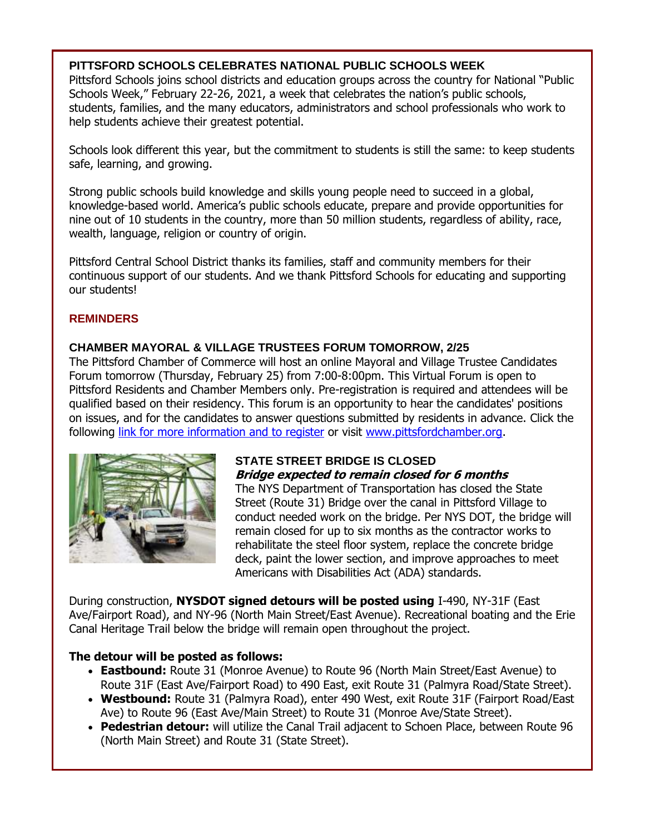#### **PITTSFORD SCHOOLS CELEBRATES NATIONAL PUBLIC SCHOOLS WEEK**

Pittsford Schools joins school districts and education groups across the country for National "Public Schools Week," February 22-26, 2021, a week that celebrates the nation's public schools, students, families, and the many educators, administrators and school professionals who work to help students achieve their greatest potential.

Schools look different this year, but the commitment to students is still the same: to keep students safe, learning, and growing.

Strong public schools build knowledge and skills young people need to succeed in a global, knowledge-based world. America's public schools educate, prepare and provide opportunities for nine out of 10 students in the country, more than 50 million students, regardless of ability, race, wealth, language, religion or country of origin.

Pittsford Central School District thanks its families, staff and community members for their continuous support of our students. And we thank Pittsford Schools for educating and supporting our students!

#### **REMINDERS**

#### **CHAMBER MAYORAL & VILLAGE TRUSTEES FORUM TOMORROW, 2/25**

The Pittsford Chamber of Commerce will host an online Mayoral and Village Trustee Candidates Forum tomorrow (Thursday, February 25) from 7:00-8:00pm. This Virtual Forum is open to Pittsford Residents and Chamber Members only. Pre-registration is required and attendees will be qualified based on their residency. This forum is an opportunity to hear the candidates' positions on issues, and for the candidates to answer questions submitted by residents in advance. Click the following [link for more information and to register](http://r20.rs6.net/tn.jsp?f=001odivNNQ7vWuHnUpd30LdpoIosi8BXWQVl78BW-ObLpk45f7mAHXcSwvOLbRsAGvRITCLbjztzDk-vTyk-ZFn6hGdokv18MEn49vCPVREaYJyBKYquwDKTNE514hr3jHZgNSkZm94vq06WA2H7cZW8xCfqAA_Lfofdti05ua2UciI-uAPMyQWuRtSlwBcsL1CWrjltGro1O4YadaZqd3OOdc1dJMcpajNs0yi-t52eLk2E3L7eKp7lg==&c=y9sh7mkpeuacBUf7XOf6TdCxnwGflFkeShgxmwICPvS3gG3zhWjrXw==&ch=GWA1XfCcw3aH8a4haHeLH92JYnvoPEkprA9ypLHmGJx7tJKI8PY5Cw==) or visit [www.pittsfordchamber.org.](http://www.pittsfordchamber.org/)



#### **STATE STREET BRIDGE IS CLOSED Bridge expected to remain closed for 6 months**

The NYS Department of Transportation has closed the State Street (Route 31) Bridge over the canal in Pittsford Village to conduct needed work on the bridge. Per NYS DOT, the bridge will remain closed for up to six months as the contractor works to rehabilitate the steel floor system, replace the concrete bridge deck, paint the lower section, and improve approaches to meet Americans with Disabilities Act (ADA) standards.

During construction, **NYSDOT signed detours will be posted using** I-490, NY-31F (East Ave/Fairport Road), and NY-96 (North Main Street/East Avenue). Recreational boating and the Erie Canal Heritage Trail below the bridge will remain open throughout the project.

#### **The detour will be posted as follows:**

- **Eastbound:** Route 31 (Monroe Avenue) to Route 96 (North Main Street/East Avenue) to Route 31F (East Ave/Fairport Road) to 490 East, exit Route 31 (Palmyra Road/State Street).
- **Westbound:** Route 31 (Palmyra Road), enter 490 West, exit Route 31F (Fairport Road/East Ave) to Route 96 (East Ave/Main Street) to Route 31 (Monroe Ave/State Street).
- **Pedestrian detour:** will utilize the Canal Trail adjacent to Schoen Place, between Route 96 (North Main Street) and Route 31 (State Street).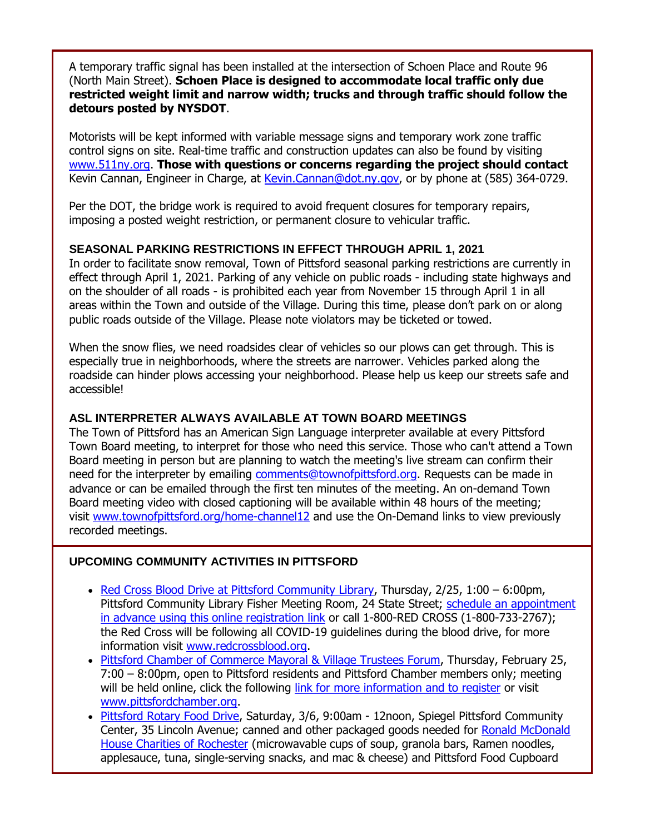A temporary traffic signal has been installed at the intersection of Schoen Place and Route 96 (North Main Street). **Schoen Place is designed to accommodate local traffic only due restricted weight limit and narrow width; trucks and through traffic should follow the detours posted by NYSDOT**.

Motorists will be kept informed with variable message signs and temporary work zone traffic control signs on site. Real-time traffic and construction updates can also be found by visiting [www.511ny.org.](http://r20.rs6.net/tn.jsp?f=001odivNNQ7vWuHnUpd30LdpoIosi8BXWQVl78BW-ObLpk45f7mAHXcSzi0ScMstBilbtu6yAAeS_aInfwZcxSUuVjfT7Zn0pFM8sURDd3ZctJ7wXYzWtnpVwInKSb0zvs5OJsF1RHVEnk=&c=y9sh7mkpeuacBUf7XOf6TdCxnwGflFkeShgxmwICPvS3gG3zhWjrXw==&ch=GWA1XfCcw3aH8a4haHeLH92JYnvoPEkprA9ypLHmGJx7tJKI8PY5Cw==) **Those with questions or concerns regarding the project should contact** Kevin Cannan, Engineer in Charge, at [Kevin.Cannan@dot.ny.gov,](mailto:Kevin.Cannan@dot.ny.gov) or by phone at (585) 364-0729.

Per the DOT, the bridge work is required to avoid frequent closures for temporary repairs, imposing a posted weight restriction, or permanent closure to vehicular traffic.

#### **SEASONAL PARKING RESTRICTIONS IN EFFECT THROUGH APRIL 1, 2021**

In order to facilitate snow removal, Town of Pittsford seasonal parking restrictions are currently in effect through April 1, 2021. Parking of any vehicle on public roads - including state highways and on the shoulder of all roads - is prohibited each year from November 15 through April 1 in all areas within the Town and outside of the Village. During this time, please don't park on or along public roads outside of the Village. Please note violators may be ticketed or towed.

When the snow flies, we need roadsides clear of vehicles so our plows can get through. This is especially true in neighborhoods, where the streets are narrower. Vehicles parked along the roadside can hinder plows accessing your neighborhood. Please help us keep our streets safe and accessible!

#### **ASL INTERPRETER ALWAYS AVAILABLE AT TOWN BOARD MEETINGS**

The Town of Pittsford has an American Sign Language interpreter available at every Pittsford Town Board meeting, to interpret for those who need this service. Those who can't attend a Town Board meeting in person but are planning to watch the meeting's live stream can confirm their need for the interpreter by emailing [comments@townofpittsford.org.](mailto:comments@townofpittsford.org?subject=ASL%20interperter%20request%20for%20Town%20Board%20meeting) Requests can be made in advance or can be emailed through the first ten minutes of the meeting. An on-demand Town Board meeting video with closed captioning will be available within 48 hours of the meeting; visit [www.townofpittsford.org/home-channel12](http://r20.rs6.net/tn.jsp?f=001odivNNQ7vWuHnUpd30LdpoIosi8BXWQVl78BW-ObLpk45f7mAHXcS2fgj0VxeNo10xUYifZoRfQrO3ntwqOeO9_pS_uZe9YuQCcJTU_tg_4bqi1vgDYs4zrvFls8Drp4NSDwjStkEusXXQWbmEx3GVjX8BfCHi2D7Hny6UEvHgo=&c=y9sh7mkpeuacBUf7XOf6TdCxnwGflFkeShgxmwICPvS3gG3zhWjrXw==&ch=GWA1XfCcw3aH8a4haHeLH92JYnvoPEkprA9ypLHmGJx7tJKI8PY5Cw==) and use the On-Demand links to view previously recorded meetings.

#### **UPCOMING COMMUNITY ACTIVITIES IN PITTSFORD**

- [Red Cross Blood Drive at Pittsford Community Library,](http://r20.rs6.net/tn.jsp?f=001odivNNQ7vWuHnUpd30LdpoIosi8BXWQVl78BW-ObLpk45f7mAHXcS6Zb9RS_ndzjA7-u4bMCu_W_1j9W9YQ7yu5mt29nK4BlqHw9VvsDdmZuiUs3ZARF1oI2uH5edEwnLWhKvua0usyE4QHpsB5UNyCc7A8L1Q7G_XsFdbComKGp88uc_knqxB_jDUDEifD2egjS0LD4rBwAP81tygZnWR6-5h4QrfnXwmcvsuxKibo=&c=y9sh7mkpeuacBUf7XOf6TdCxnwGflFkeShgxmwICPvS3gG3zhWjrXw==&ch=GWA1XfCcw3aH8a4haHeLH92JYnvoPEkprA9ypLHmGJx7tJKI8PY5Cw==) Thursday, 2/25, 1:00 6:00pm, Pittsford Community Library Fisher Meeting Room, 24 State Street; [schedule an appointment](http://r20.rs6.net/tn.jsp?f=001odivNNQ7vWuHnUpd30LdpoIosi8BXWQVl78BW-ObLpk45f7mAHXcS6Zb9RS_ndzjA7-u4bMCu_W_1j9W9YQ7yu5mt29nK4BlqHw9VvsDdmZuiUs3ZARF1oI2uH5edEwnLWhKvua0usyE4QHpsB5UNyCc7A8L1Q7G_XsFdbComKGp88uc_knqxB_jDUDEifD2egjS0LD4rBwAP81tygZnWR6-5h4QrfnXwmcvsuxKibo=&c=y9sh7mkpeuacBUf7XOf6TdCxnwGflFkeShgxmwICPvS3gG3zhWjrXw==&ch=GWA1XfCcw3aH8a4haHeLH92JYnvoPEkprA9ypLHmGJx7tJKI8PY5Cw==)  [in advance using this online registration link](http://r20.rs6.net/tn.jsp?f=001odivNNQ7vWuHnUpd30LdpoIosi8BXWQVl78BW-ObLpk45f7mAHXcS6Zb9RS_ndzjA7-u4bMCu_W_1j9W9YQ7yu5mt29nK4BlqHw9VvsDdmZuiUs3ZARF1oI2uH5edEwnLWhKvua0usyE4QHpsB5UNyCc7A8L1Q7G_XsFdbComKGp88uc_knqxB_jDUDEifD2egjS0LD4rBwAP81tygZnWR6-5h4QrfnXwmcvsuxKibo=&c=y9sh7mkpeuacBUf7XOf6TdCxnwGflFkeShgxmwICPvS3gG3zhWjrXw==&ch=GWA1XfCcw3aH8a4haHeLH92JYnvoPEkprA9ypLHmGJx7tJKI8PY5Cw==) or call 1-800-RED CROSS (1-800-733-2767); the Red Cross will be following all COVID-19 guidelines during the blood drive, for more information visit [www.redcrossblood.org.](http://www.redcrossblood.org/)
- [Pittsford Chamber of Commerce Mayoral & Village Trustees Forum,](http://r20.rs6.net/tn.jsp?f=001odivNNQ7vWuHnUpd30LdpoIosi8BXWQVl78BW-ObLpk45f7mAHXcSwvOLbRsAGvRITCLbjztzDk-vTyk-ZFn6hGdokv18MEn49vCPVREaYJyBKYquwDKTNE514hr3jHZgNSkZm94vq06WA2H7cZW8xCfqAA_Lfofdti05ua2UciI-uAPMyQWuRtSlwBcsL1CWrjltGro1O4YadaZqd3OOdc1dJMcpajNs0yi-t52eLk2E3L7eKp7lg==&c=y9sh7mkpeuacBUf7XOf6TdCxnwGflFkeShgxmwICPvS3gG3zhWjrXw==&ch=GWA1XfCcw3aH8a4haHeLH92JYnvoPEkprA9ypLHmGJx7tJKI8PY5Cw==) Thursday, February 25, 7:00 – 8:00pm, open to Pittsford residents and Pittsford Chamber members only; meeting will be held online, click the following [link for more information and to register](http://r20.rs6.net/tn.jsp?f=001odivNNQ7vWuHnUpd30LdpoIosi8BXWQVl78BW-ObLpk45f7mAHXcSwvOLbRsAGvRITCLbjztzDk-vTyk-ZFn6hGdokv18MEn49vCPVREaYJyBKYquwDKTNE514hr3jHZgNSkZm94vq06WA2H7cZW8xCfqAA_Lfofdti05ua2UciI-uAPMyQWuRtSlwBcsL1CWrjltGro1O4YadaZqd3OOdc1dJMcpajNs0yi-t52eLk2E3L7eKp7lg==&c=y9sh7mkpeuacBUf7XOf6TdCxnwGflFkeShgxmwICPvS3gG3zhWjrXw==&ch=GWA1XfCcw3aH8a4haHeLH92JYnvoPEkprA9ypLHmGJx7tJKI8PY5Cw==) or visit [www.pittsfordchamber.org.](http://r20.rs6.net/tn.jsp?f=001odivNNQ7vWuHnUpd30LdpoIosi8BXWQVl78BW-ObLpk45f7mAHXcS8yv7VKuvig5_3TGiIJI3tbA_X8tzK3FRClG7Kc_tVPOfGmam68suLUVTfiVn1UbLIds82mMiwpW24CfMUyTxwbmX5o_A-rdm_EjczA_k9g7&c=y9sh7mkpeuacBUf7XOf6TdCxnwGflFkeShgxmwICPvS3gG3zhWjrXw==&ch=GWA1XfCcw3aH8a4haHeLH92JYnvoPEkprA9ypLHmGJx7tJKI8PY5Cw==)
- [Pittsford Rotary Food Drive,](http://r20.rs6.net/tn.jsp?f=001odivNNQ7vWuHnUpd30LdpoIosi8BXWQVl78BW-ObLpk45f7mAHXcSwBubTRaMW-NCKKc4u8FYqqVI1xjLxpXWD6wZvHFp3n17IeFijPZ2ZjJyfsYhhGotITnWD1mrjeilkBwfTqYboDaCvZ3eWVmoxVR9Ri6GLxf&c=y9sh7mkpeuacBUf7XOf6TdCxnwGflFkeShgxmwICPvS3gG3zhWjrXw==&ch=GWA1XfCcw3aH8a4haHeLH92JYnvoPEkprA9ypLHmGJx7tJKI8PY5Cw==) Saturday, 3/6, 9:00am 12noon, Spiegel Pittsford Community Center, 35 Lincoln Avenue; canned and other packaged goods needed for Ronald McDonald [House Charities of Rochester](http://r20.rs6.net/tn.jsp?f=001odivNNQ7vWuHnUpd30LdpoIosi8BXWQVl78BW-ObLpk45f7mAHXcSwvOLbRsAGvR_hDbWZF0B6kK4B8Rpnoq-JDqk9_baQMoS4WKfr-Nx1aUJy76UM_yFZpyZJcZfde-tgzBtxkmLdDG-tv6ahqG6Q==&c=y9sh7mkpeuacBUf7XOf6TdCxnwGflFkeShgxmwICPvS3gG3zhWjrXw==&ch=GWA1XfCcw3aH8a4haHeLH92JYnvoPEkprA9ypLHmGJx7tJKI8PY5Cw==) (microwavable cups of soup, granola bars, Ramen noodles, applesauce, tuna, single-serving snacks, and mac & cheese) and Pittsford Food Cupboard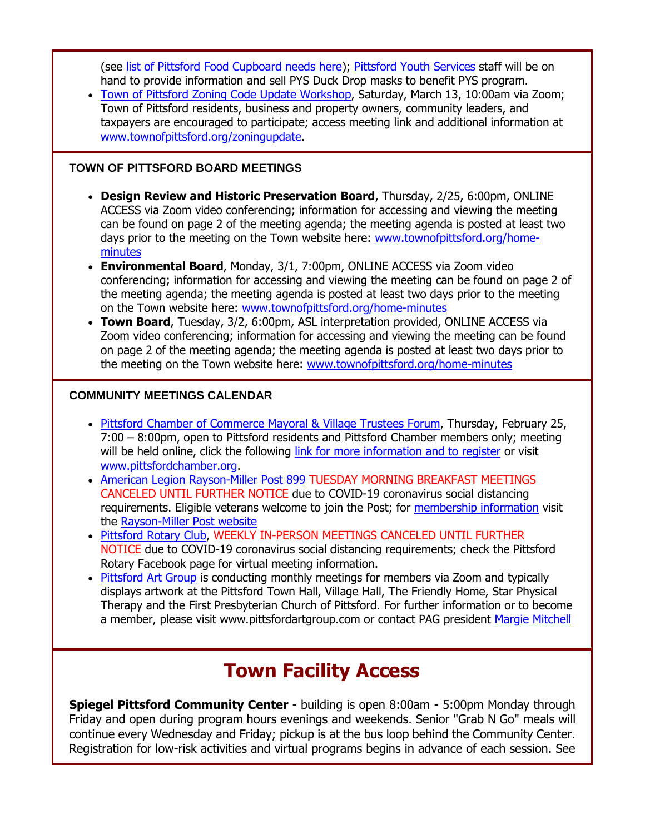(see [list of Pittsford Food Cupboard needs here\)](http://r20.rs6.net/tn.jsp?f=001odivNNQ7vWuHnUpd30LdpoIosi8BXWQVl78BW-ObLpk45f7mAHXcS3TuQOlMgyd3x2mfzE_mC_pLdrDrUpG1yAwjT4ElMGNHCibeHAFan6c7gCoXVMQlHVDSLacErZM5o7jWQM13bIsyd3RdiEQoaPJVpe3icE2YYIZybNGQP_LCpSYmcZ1pkFYAJMMC918Z&c=y9sh7mkpeuacBUf7XOf6TdCxnwGflFkeShgxmwICPvS3gG3zhWjrXw==&ch=GWA1XfCcw3aH8a4haHeLH92JYnvoPEkprA9ypLHmGJx7tJKI8PY5Cw==); [Pittsford Youth Services](http://r20.rs6.net/tn.jsp?f=001odivNNQ7vWuHnUpd30LdpoIosi8BXWQVl78BW-ObLpk45f7mAHXcSz33s6q_9qWer_JMWo8nf6WNv59RSro5qHZPSe6U4lbHDii-1ZnzijIppjRXBVZN5p8Muy1-gHBzdZ7u6d2rxjMp4TnyDfbc5JiRIFSc2Ry9kc8mXJk634g=&c=y9sh7mkpeuacBUf7XOf6TdCxnwGflFkeShgxmwICPvS3gG3zhWjrXw==&ch=GWA1XfCcw3aH8a4haHeLH92JYnvoPEkprA9ypLHmGJx7tJKI8PY5Cw==) staff will be on hand to provide information and sell PYS Duck Drop masks to benefit PYS program.

 [Town of Pittsford Zoning Code Update Workshop,](http://r20.rs6.net/tn.jsp?f=001odivNNQ7vWuHnUpd30LdpoIosi8BXWQVl78BW-ObLpk45f7mAHXcSwvOLbRsAGvRZMXFKEC4-CWTDLeQbePmm8Uxd3Byi8tVVwft32EqADnww6wLRb1ay8EIZEkLJyOOwAXoUxD9ute9M2kVaMULKDoy0YKwiVe5tAXON2ddhps=&c=y9sh7mkpeuacBUf7XOf6TdCxnwGflFkeShgxmwICPvS3gG3zhWjrXw==&ch=GWA1XfCcw3aH8a4haHeLH92JYnvoPEkprA9ypLHmGJx7tJKI8PY5Cw==) Saturday, March 13, 10:00am via Zoom; Town of Pittsford residents, business and property owners, community leaders, and taxpayers are encouraged to participate; access meeting link and additional information at [www.townofpittsford.org/zoningupdate.](http://r20.rs6.net/tn.jsp?f=001odivNNQ7vWuHnUpd30LdpoIosi8BXWQVl78BW-ObLpk45f7mAHXcSwvOLbRsAGvRZMXFKEC4-CWTDLeQbePmm8Uxd3Byi8tVVwft32EqADnww6wLRb1ay8EIZEkLJyOOwAXoUxD9ute9M2kVaMULKDoy0YKwiVe5tAXON2ddhps=&c=y9sh7mkpeuacBUf7XOf6TdCxnwGflFkeShgxmwICPvS3gG3zhWjrXw==&ch=GWA1XfCcw3aH8a4haHeLH92JYnvoPEkprA9ypLHmGJx7tJKI8PY5Cw==)

#### **TOWN OF PITTSFORD BOARD MEETINGS**

- **Design Review and Historic Preservation Board**, Thursday, 2/25, 6:00pm, ONLINE ACCESS via Zoom video conferencing; information for accessing and viewing the meeting can be found on page 2 of the meeting agenda; the meeting agenda is posted at least two days prior to the meeting on the Town website here: [www.townofpittsford.org/home](http://r20.rs6.net/tn.jsp?f=001odivNNQ7vWuHnUpd30LdpoIosi8BXWQVl78BW-ObLpk45f7mAHXcS_HXqzOYAgeWIQ9vWT7wfzuLMtipxvXM0vM9GqTEr1ANKBQmHZZPfSjtyQ9edE7Zs5orr8qj37QGvTAV2zuLI3HIW2OOcDdUr_BXMZqiBnEKt6Y5o74FteY=&c=y9sh7mkpeuacBUf7XOf6TdCxnwGflFkeShgxmwICPvS3gG3zhWjrXw==&ch=GWA1XfCcw3aH8a4haHeLH92JYnvoPEkprA9ypLHmGJx7tJKI8PY5Cw==)[minutes](http://r20.rs6.net/tn.jsp?f=001odivNNQ7vWuHnUpd30LdpoIosi8BXWQVl78BW-ObLpk45f7mAHXcS_HXqzOYAgeWIQ9vWT7wfzuLMtipxvXM0vM9GqTEr1ANKBQmHZZPfSjtyQ9edE7Zs5orr8qj37QGvTAV2zuLI3HIW2OOcDdUr_BXMZqiBnEKt6Y5o74FteY=&c=y9sh7mkpeuacBUf7XOf6TdCxnwGflFkeShgxmwICPvS3gG3zhWjrXw==&ch=GWA1XfCcw3aH8a4haHeLH92JYnvoPEkprA9ypLHmGJx7tJKI8PY5Cw==)
- **Environmental Board**, Monday, 3/1, 7:00pm, ONLINE ACCESS via Zoom video conferencing; information for accessing and viewing the meeting can be found on page 2 of the meeting agenda; the meeting agenda is posted at least two days prior to the meeting on the Town website here: [www.townofpittsford.org/home-minutes](http://r20.rs6.net/tn.jsp?f=001odivNNQ7vWuHnUpd30LdpoIosi8BXWQVl78BW-ObLpk45f7mAHXcS_HXqzOYAgeWIQ9vWT7wfzuLMtipxvXM0vM9GqTEr1ANKBQmHZZPfSjtyQ9edE7Zs5orr8qj37QGvTAV2zuLI3HIW2OOcDdUr_BXMZqiBnEKt6Y5o74FteY=&c=y9sh7mkpeuacBUf7XOf6TdCxnwGflFkeShgxmwICPvS3gG3zhWjrXw==&ch=GWA1XfCcw3aH8a4haHeLH92JYnvoPEkprA9ypLHmGJx7tJKI8PY5Cw==)
- **Town Board**, Tuesday, 3/2, 6:00pm, ASL interpretation provided, ONLINE ACCESS via Zoom video conferencing; information for accessing and viewing the meeting can be found on page 2 of the meeting agenda; the meeting agenda is posted at least two days prior to the meeting on the Town website here: [www.townofpittsford.org/home-minutes](http://r20.rs6.net/tn.jsp?f=001odivNNQ7vWuHnUpd30LdpoIosi8BXWQVl78BW-ObLpk45f7mAHXcS_HXqzOYAgeWIQ9vWT7wfzuLMtipxvXM0vM9GqTEr1ANKBQmHZZPfSjtyQ9edE7Zs5orr8qj37QGvTAV2zuLI3HIW2OOcDdUr_BXMZqiBnEKt6Y5o74FteY=&c=y9sh7mkpeuacBUf7XOf6TdCxnwGflFkeShgxmwICPvS3gG3zhWjrXw==&ch=GWA1XfCcw3aH8a4haHeLH92JYnvoPEkprA9ypLHmGJx7tJKI8PY5Cw==)

#### **COMMUNITY MEETINGS CALENDAR**

- [Pittsford Chamber of Commerce Mayoral & Village Trustees Forum,](http://r20.rs6.net/tn.jsp?f=001odivNNQ7vWuHnUpd30LdpoIosi8BXWQVl78BW-ObLpk45f7mAHXcSwvOLbRsAGvRITCLbjztzDk-vTyk-ZFn6hGdokv18MEn49vCPVREaYJyBKYquwDKTNE514hr3jHZgNSkZm94vq06WA2H7cZW8xCfqAA_Lfofdti05ua2UciI-uAPMyQWuRtSlwBcsL1CWrjltGro1O4YadaZqd3OOdc1dJMcpajNs0yi-t52eLk2E3L7eKp7lg==&c=y9sh7mkpeuacBUf7XOf6TdCxnwGflFkeShgxmwICPvS3gG3zhWjrXw==&ch=GWA1XfCcw3aH8a4haHeLH92JYnvoPEkprA9ypLHmGJx7tJKI8PY5Cw==) Thursday, February 25, 7:00 – 8:00pm, open to Pittsford residents and Pittsford Chamber members only; meeting will be held online, click the following [link for more information and to register](http://r20.rs6.net/tn.jsp?f=001odivNNQ7vWuHnUpd30LdpoIosi8BXWQVl78BW-ObLpk45f7mAHXcSwvOLbRsAGvRITCLbjztzDk-vTyk-ZFn6hGdokv18MEn49vCPVREaYJyBKYquwDKTNE514hr3jHZgNSkZm94vq06WA2H7cZW8xCfqAA_Lfofdti05ua2UciI-uAPMyQWuRtSlwBcsL1CWrjltGro1O4YadaZqd3OOdc1dJMcpajNs0yi-t52eLk2E3L7eKp7lg==&c=y9sh7mkpeuacBUf7XOf6TdCxnwGflFkeShgxmwICPvS3gG3zhWjrXw==&ch=GWA1XfCcw3aH8a4haHeLH92JYnvoPEkprA9ypLHmGJx7tJKI8PY5Cw==) or visit [www.pittsfordchamber.org.](http://r20.rs6.net/tn.jsp?f=001odivNNQ7vWuHnUpd30LdpoIosi8BXWQVl78BW-ObLpk45f7mAHXcS8yv7VKuvig5_3TGiIJI3tbA_X8tzK3FRClG7Kc_tVPOfGmam68suLUVTfiVn1UbLIds82mMiwpW24CfMUyTxwbmX5o_A-rdm_EjczA_k9g7&c=y9sh7mkpeuacBUf7XOf6TdCxnwGflFkeShgxmwICPvS3gG3zhWjrXw==&ch=GWA1XfCcw3aH8a4haHeLH92JYnvoPEkprA9ypLHmGJx7tJKI8PY5Cw==)
- [American Legion Rayson-Miller Post 899](http://r20.rs6.net/tn.jsp?f=001odivNNQ7vWuHnUpd30LdpoIosi8BXWQVl78BW-ObLpk45f7mAHXcSxRtoTQx_Tq-r2NC3yeaRBANzRMrZ7bQdbASEyUHKv7R_7Elr7oX6BAeMEJ13j0g_JeWx_mXJStbyMu3dFLbfAcL4EjLonylNb57B5444VmJ&c=y9sh7mkpeuacBUf7XOf6TdCxnwGflFkeShgxmwICPvS3gG3zhWjrXw==&ch=GWA1XfCcw3aH8a4haHeLH92JYnvoPEkprA9ypLHmGJx7tJKI8PY5Cw==) TUESDAY MORNING BREAKFAST MEETINGS CANCELED UNTIL FURTHER NOTICE due to COVID-19 coronavirus social distancing requirements. Eligible veterans welcome to join the Post; for [membership information](http://r20.rs6.net/tn.jsp?f=001odivNNQ7vWuHnUpd30LdpoIosi8BXWQVl78BW-ObLpk45f7mAHXcSxRtoTQx_Tq-C0AOew-mPMibKyYKcrGPTF3mNZABHwYPjmD4AELrtMUFIcGachG7NR31CRfy77OcXMqV7-_RgTZeTNbavRhrzU43POCPrb-5qWrgjnBeXyoAzCmSXYa58JwQg3UNnEsJ&c=y9sh7mkpeuacBUf7XOf6TdCxnwGflFkeShgxmwICPvS3gG3zhWjrXw==&ch=GWA1XfCcw3aH8a4haHeLH92JYnvoPEkprA9ypLHmGJx7tJKI8PY5Cw==) visit the [Rayson-Miller Post website](http://r20.rs6.net/tn.jsp?f=001odivNNQ7vWuHnUpd30LdpoIosi8BXWQVl78BW-ObLpk45f7mAHXcSz3UoQubIOvNxNaI14AsaBdkCqQCGRsOYJZAHRizLLywY5Au_H3eNt7CSEUCSzpSsNkdqZtOWSjNKiuyBrPy2adhIxqV5MB3J4r0UKm1PSQBQr9e75ayeXZYNryrehLfwcggtoutdZIWdwKvQCY-xFwVQNKYTtVp_ujdxYFy-vdKfZP1RAnaEFdXVb21McoH4QQV_CWf-xCK&c=y9sh7mkpeuacBUf7XOf6TdCxnwGflFkeShgxmwICPvS3gG3zhWjrXw==&ch=GWA1XfCcw3aH8a4haHeLH92JYnvoPEkprA9ypLHmGJx7tJKI8PY5Cw==)
- [Pittsford Rotary Club,](http://r20.rs6.net/tn.jsp?f=001odivNNQ7vWuHnUpd30LdpoIosi8BXWQVl78BW-ObLpk45f7mAHXcS_HXqzOYAgeWUM3Jug626nKU1026jiQjNssGJoGKsMHgqd5z806Hd-hUHmD7R566AmdRw9DgXpmbNa4szlmMxeSf70c5nrKW36O0R58OC_cM&c=y9sh7mkpeuacBUf7XOf6TdCxnwGflFkeShgxmwICPvS3gG3zhWjrXw==&ch=GWA1XfCcw3aH8a4haHeLH92JYnvoPEkprA9ypLHmGJx7tJKI8PY5Cw==) WEEKLY IN-PERSON MEETINGS CANCELED UNTIL FURTHER NOTICE due to COVID-19 coronavirus social distancing requirements; check the Pittsford Rotary Facebook page for virtual meeting information.
- Pittsford [Art Group](http://r20.rs6.net/tn.jsp?f=001odivNNQ7vWuHnUpd30LdpoIosi8BXWQVl78BW-ObLpk45f7mAHXcS1hVAYhACkBDnps7Ob-2UvcPlnPjT6teh4lZeIiYDKKAWRi-LK7eSP_l9Q38OpL9OHOGFI8QeIr0ZHk5Fw-DLjHKcUFwPEkpeOJTiFiUf--uVRXw-RYPouM=&c=y9sh7mkpeuacBUf7XOf6TdCxnwGflFkeShgxmwICPvS3gG3zhWjrXw==&ch=GWA1XfCcw3aH8a4haHeLH92JYnvoPEkprA9ypLHmGJx7tJKI8PY5Cw==) is conducting monthly meetings for members via Zoom and typically displays artwork at the Pittsford Town Hall, Village Hall, The Friendly Home, Star Physical Therapy and the First Presbyterian Church of Pittsford. For further information or to become a member, please visit [www.pittsfordartgroup.com](http://r20.rs6.net/tn.jsp?f=001odivNNQ7vWuHnUpd30LdpoIosi8BXWQVl78BW-ObLpk45f7mAHXcS0rb4u37z7XrczRC__5ffNHiQLbQi5IuhPqgfmecz9TzjMi8-BoE-CD3bT7BVcVCjQ51im0wrIQZXuJM8XxO3BIonsL_sXjAmHdaOmoVCEgj&c=y9sh7mkpeuacBUf7XOf6TdCxnwGflFkeShgxmwICPvS3gG3zhWjrXw==&ch=GWA1XfCcw3aH8a4haHeLH92JYnvoPEkprA9ypLHmGJx7tJKI8PY5Cw==) or contact PAG president [Margie Mitchell](mailto:mhsmitchell@gmail.com?subject=Pittsford%20Art%20Group%20Meetings%20and%20Membership)

## **Town Facility Access**

**Spiegel Pittsford Community Center** - building is open 8:00am - 5:00pm Monday through Friday and open during program hours evenings and weekends. Senior "Grab N Go" meals will continue every Wednesday and Friday; pickup is at the bus loop behind the Community Center. Registration for low-risk activities and virtual programs begins in advance of each session. See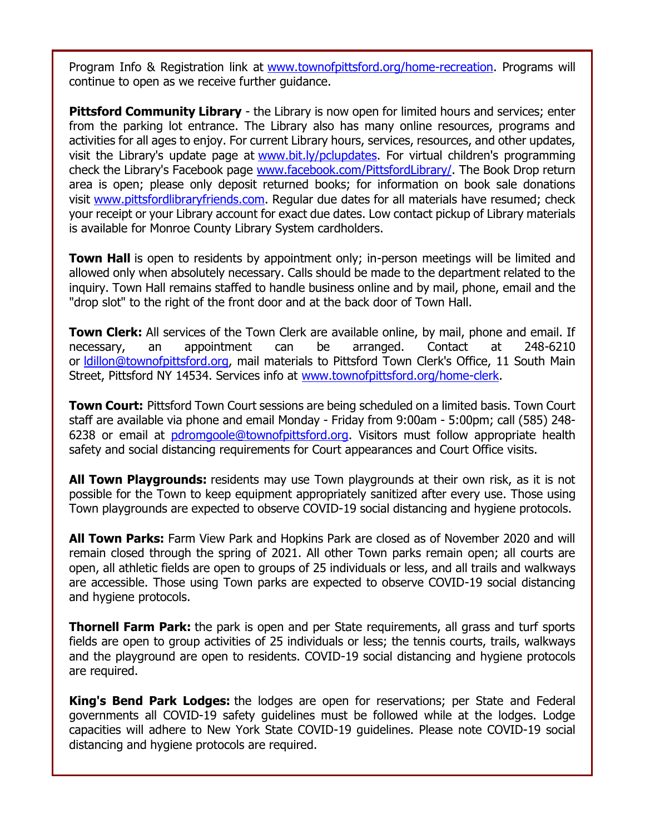Program Info & Registration link at [www.townofpittsford.org/home-recreation.](http://r20.rs6.net/tn.jsp?f=001odivNNQ7vWuHnUpd30LdpoIosi8BXWQVl78BW-ObLpk45f7mAHXcS18JRe0UJ21jr5v2OipxFh9Z7SDYEh8P6fhpcByFjnaA0rkOwcsPM3WwGfLZvq9YFrq4ehxzZ8Pqc01ClDWaKNbsr1CTJJp2COe6cH52fAiCMbczKb4vXP5yjmC0_GmhKQ==&c=y9sh7mkpeuacBUf7XOf6TdCxnwGflFkeShgxmwICPvS3gG3zhWjrXw==&ch=GWA1XfCcw3aH8a4haHeLH92JYnvoPEkprA9ypLHmGJx7tJKI8PY5Cw==) Programs will continue to open as we receive further guidance.

**Pittsford Community Library** - the Library is now open for limited hours and services; enter from the parking lot entrance. The Library also has many online resources, programs and activities for all ages to enjoy. For current Library hours, services, resources, and other updates, visit the Library's update page at [www.bit.ly/pclupdates.](http://r20.rs6.net/tn.jsp?f=001odivNNQ7vWuHnUpd30LdpoIosi8BXWQVl78BW-ObLpk45f7mAHXcS7ZxZaUaW_nPAbxZU9MfomZ4e2JOZTh-QRvtBPYuF69zwAKBvLZQO4W6DKVB5mc6vukD4NSOxyEvzlA40vTbMquZaCHEc-firQ==&c=y9sh7mkpeuacBUf7XOf6TdCxnwGflFkeShgxmwICPvS3gG3zhWjrXw==&ch=GWA1XfCcw3aH8a4haHeLH92JYnvoPEkprA9ypLHmGJx7tJKI8PY5Cw==) For virtual children's programming check the Library's Facebook page [www.facebook.com/PittsfordLibrary/.](http://r20.rs6.net/tn.jsp?f=001odivNNQ7vWuHnUpd30LdpoIosi8BXWQVl78BW-ObLpk45f7mAHXcS13K0623Vq8U-7_7wPw6PU7XpAr1YmP3I5M7XnPsKLfXpIxsFlikJUbJO1VQL718D5T0ElrE_Wl-f_MDNTmPO7c_O1VS9voRUU-wo0mGJ0lJiGMjl0NrPIE=&c=y9sh7mkpeuacBUf7XOf6TdCxnwGflFkeShgxmwICPvS3gG3zhWjrXw==&ch=GWA1XfCcw3aH8a4haHeLH92JYnvoPEkprA9ypLHmGJx7tJKI8PY5Cw==) The Book Drop return area is open; please only deposit returned books; for information on book sale donations visit [www.pittsfordlibraryfriends.com.](http://r20.rs6.net/tn.jsp?f=001odivNNQ7vWuHnUpd30LdpoIosi8BXWQVl78BW-ObLpk45f7mAHXcSwGudIl5vYFgd73yz-A3uAecKLDFRWoX7DxPvAN8pQ5syA7Tv3PqgSfdNxrJO7MFQhXj2yYGzgOXUdlX5Hqt_WoyFExJqZNSySM4juxfdk7_K9Bt-eZHmy0=&c=y9sh7mkpeuacBUf7XOf6TdCxnwGflFkeShgxmwICPvS3gG3zhWjrXw==&ch=GWA1XfCcw3aH8a4haHeLH92JYnvoPEkprA9ypLHmGJx7tJKI8PY5Cw==) Regular due dates for all materials have resumed; check your receipt or your Library account for exact due dates. Low contact pickup of Library materials is available for Monroe County Library System cardholders.

**Town Hall** is open to residents by appointment only; in-person meetings will be limited and allowed only when absolutely necessary. Calls should be made to the department related to the inquiry. Town Hall remains staffed to handle business online and by mail, phone, email and the "drop slot" to the right of the front door and at the back door of Town Hall.

**Town Clerk:** All services of the Town Clerk are available online, by mail, phone and email. If necessary, an appointment can be arranged. Contact at 248-6210 or Idillon@townofpittsford.org, mail materials to Pittsford Town Clerk's Office, 11 South Main Street, Pittsford NY 14534. Services info at [www.townofpittsford.org/home-clerk.](http://r20.rs6.net/tn.jsp?f=001odivNNQ7vWuHnUpd30LdpoIosi8BXWQVl78BW-ObLpk45f7mAHXcSwpSDQ8zrqtjSTQcc2jVl-CUy_pqvhNT8-opRs3_IYJulB4PNEoNxma8XQqeGF8OaNYM4vbrTRcUdubIpJHm3VL9iFcZ1Ik3ZYihvg24LpoR7iL9n8ZxIFo=&c=y9sh7mkpeuacBUf7XOf6TdCxnwGflFkeShgxmwICPvS3gG3zhWjrXw==&ch=GWA1XfCcw3aH8a4haHeLH92JYnvoPEkprA9ypLHmGJx7tJKI8PY5Cw==)

**Town Court:** Pittsford Town Court sessions are being scheduled on a limited basis. Town Court staff are available via phone and email Monday - Friday from 9:00am - 5:00pm; call (585) 248 6238 or email at [pdromgoole@townofpittsford.org.](mailto:pdromgoole@townofpittsford.org) Visitors must follow appropriate health safety and social distancing requirements for Court appearances and Court Office visits.

**All Town Playgrounds:** residents may use Town playgrounds at their own risk, as it is not possible for the Town to keep equipment appropriately sanitized after every use. Those using Town playgrounds are expected to observe COVID-19 social distancing and hygiene protocols.

**All Town Parks:** Farm View Park and Hopkins Park are closed as of November 2020 and will remain closed through the spring of 2021. All other Town parks remain open; all courts are open, all athletic fields are open to groups of 25 individuals or less, and all trails and walkways are accessible. Those using Town parks are expected to observe COVID-19 social distancing and hygiene protocols.

**Thornell Farm Park:** the park is open and per State requirements, all grass and turf sports fields are open to group activities of 25 individuals or less; the tennis courts, trails, walkways and the playground are open to residents. COVID-19 social distancing and hygiene protocols are required.

**King's Bend Park Lodges:** the lodges are open for reservations; per State and Federal governments all COVID-19 safety guidelines must be followed while at the lodges. Lodge capacities will adhere to New York State COVID-19 guidelines. Please note COVID-19 social distancing and hygiene protocols are required.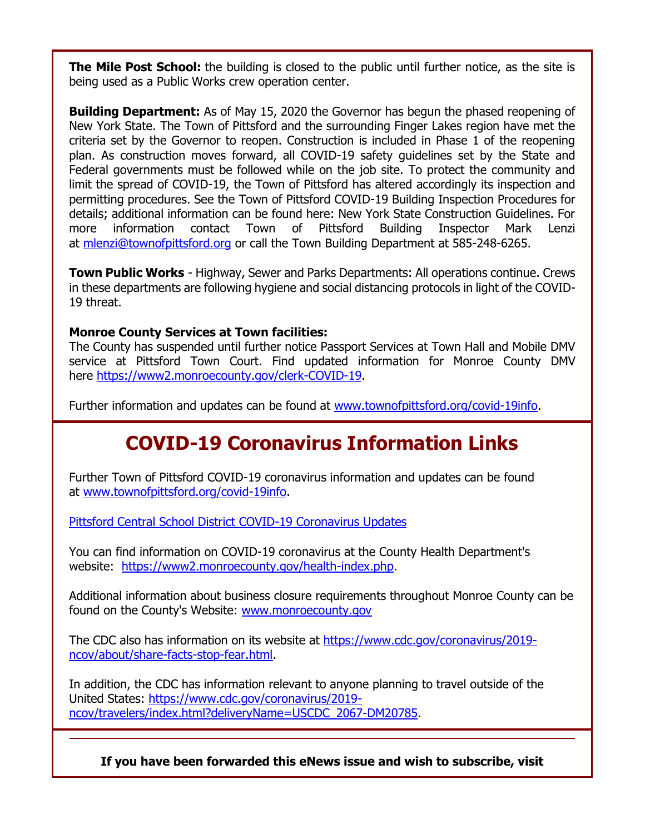**The Mile Post School:** the building is closed to the public until further notice, as the site is being used as a Public Works crew operation center.

**Building Department:** As of May 15, 2020 the Governor has begun the phased reopening of New York State. The Town of Pittsford and the surrounding Finger Lakes region have met the criteria set by the Governor to reopen. Construction is included in Phase 1 of the reopening plan. As construction moves forward, all COVID-19 safety guidelines set by the State and Federal governments must be followed while on the job site. To protect the community and limit the spread of COVID-19, the Town of Pittsford has altered accordingly its inspection and permitting procedures. See the Town of Pittsford COVID-19 Building Inspection Procedures for details; additional information can be found here: New York State Construction Guidelines. For more information contact Town of Pittsford Building Inspector Mark Lenzi at [mlenzi@townofpittsford.org](mailto:mlenzi@townofpittsford.org?subject=COVID-19%20Construciton%20Information) or call the Town Building Department at 585-248-6265.

**Town Public Works** - Highway, Sewer and Parks Departments: All operations continue. Crews in these departments are following hygiene and social distancing protocols in light of the COVID-19 threat.

#### **Monroe County Services at Town facilities:**

The County has suspended until further notice Passport Services at Town Hall and Mobile DMV service at Pittsford Town Court. Find updated information for Monroe County DMV here [https://www2.monroecounty.gov/clerk-COVID-19.](http://r20.rs6.net/tn.jsp?f=001odivNNQ7vWuHnUpd30LdpoIosi8BXWQVl78BW-ObLpk45f7mAHXcS9JgzUramnMEvyrxvp2q63icvqHO5T3tztv-BCCRPBF9dlsIMGQjeoR9B1N4XGjNTrEw83z0Sa3zyZFr2Udg_Hy6KUD7bcKBtMop3MHsBO3DdFxeC_dA12U=&c=y9sh7mkpeuacBUf7XOf6TdCxnwGflFkeShgxmwICPvS3gG3zhWjrXw==&ch=GWA1XfCcw3aH8a4haHeLH92JYnvoPEkprA9ypLHmGJx7tJKI8PY5Cw==)

Further information and updates can be found at [www.townofpittsford.org/covid-19info.](http://r20.rs6.net/tn.jsp?f=001odivNNQ7vWuHnUpd30LdpoIosi8BXWQVl78BW-ObLpk45f7mAHXcSxDGT0d_c9JldokKC0DstrEsIbzB2EDovB26s14BQdA7S4csIRUibAkbUYVNqPG-srxfyzEqyB6DbqbFaRzjlQOs9lYSG03_JvraoyvZy_EjfqAiPzfpmMc=&c=y9sh7mkpeuacBUf7XOf6TdCxnwGflFkeShgxmwICPvS3gG3zhWjrXw==&ch=GWA1XfCcw3aH8a4haHeLH92JYnvoPEkprA9ypLHmGJx7tJKI8PY5Cw==)

## **COVID-19 Coronavirus Information Links**

Further Town of Pittsford COVID-19 coronavirus information and updates can be found at [www.townofpittsford.org/covid-19info.](http://r20.rs6.net/tn.jsp?f=001odivNNQ7vWuHnUpd30LdpoIosi8BXWQVl78BW-ObLpk45f7mAHXcSxDGT0d_c9JldokKC0DstrEsIbzB2EDovB26s14BQdA7S4csIRUibAkbUYVNqPG-srxfyzEqyB6DbqbFaRzjlQOs9lYSG03_JvraoyvZy_EjfqAiPzfpmMc=&c=y9sh7mkpeuacBUf7XOf6TdCxnwGflFkeShgxmwICPvS3gG3zhWjrXw==&ch=GWA1XfCcw3aH8a4haHeLH92JYnvoPEkprA9ypLHmGJx7tJKI8PY5Cw==)

[Pittsford Central School District COVID-19 Coronavirus Updates](http://r20.rs6.net/tn.jsp?f=001odivNNQ7vWuHnUpd30LdpoIosi8BXWQVl78BW-ObLpk45f7mAHXcS13K0623Vq8U86ToINW-2K6uwjxVysRBm1_iDPnyDyu4-3AqLzG3bYuM04PGfRzL2i2qBWrOUTLbW4iJPFOQzDdjQ3cAfKVrKzxkYByz_D5XOy7ej-27yRKV9GFjt-9RMQ==&c=y9sh7mkpeuacBUf7XOf6TdCxnwGflFkeShgxmwICPvS3gG3zhWjrXw==&ch=GWA1XfCcw3aH8a4haHeLH92JYnvoPEkprA9ypLHmGJx7tJKI8PY5Cw==)

You can find information on COVID-19 coronavirus at the County Health Department's website: [https://www2.monroecounty.gov/health-index.php.](http://r20.rs6.net/tn.jsp?f=001odivNNQ7vWuHnUpd30LdpoIosi8BXWQVl78BW-ObLpk45f7mAHXcSzzisBRyAv65l11d9t4u7mRMyKONbKwNJ8N7a3gj2tvdCpjbySg5BpIMpwgcIZZEt5KoOt7aNMhQxv2lPrz6UXnacVKrRNChU8Phk9UlNi9FM3lbwCaiRBjk3k6o_rZZmw==&c=y9sh7mkpeuacBUf7XOf6TdCxnwGflFkeShgxmwICPvS3gG3zhWjrXw==&ch=GWA1XfCcw3aH8a4haHeLH92JYnvoPEkprA9ypLHmGJx7tJKI8PY5Cw==)

Additional information about business closure requirements throughout Monroe County can be found on the County's Website: [www.monroecounty.gov](http://r20.rs6.net/tn.jsp?f=001odivNNQ7vWuHnUpd30LdpoIosi8BXWQVl78BW-ObLpk45f7mAHXcS33b3Q91Kbg4dghE9_Hi2AqL-0QMR0NrJwJRtxdCvNRV5S1pRmYEjuxtEmbS-0r8U8Ms8u1K5zPqWEGg0l3IRQBM3PNSIt-6_Q==&c=y9sh7mkpeuacBUf7XOf6TdCxnwGflFkeShgxmwICPvS3gG3zhWjrXw==&ch=GWA1XfCcw3aH8a4haHeLH92JYnvoPEkprA9ypLHmGJx7tJKI8PY5Cw==)

The CDC also has information on its website at [https://www.cdc.gov/coronavirus/2019](http://r20.rs6.net/tn.jsp?f=001odivNNQ7vWuHnUpd30LdpoIosi8BXWQVl78BW-ObLpk45f7mAHXcSzzisBRyAv653FrWMivYbnCyyrLOtFbq-7yEtz0yG8cmComxPBuAfpkHv9yoaLKttvaG-Wnajma9y4vYgH43-WZKioMh8E2T4vKr3g58srRkToZx1TPC6DCZiCs6zZWEv2K97HyXg7u4NQPIkmVDtQLw8XwS47dgmxFhWc4yKTRH&c=y9sh7mkpeuacBUf7XOf6TdCxnwGflFkeShgxmwICPvS3gG3zhWjrXw==&ch=GWA1XfCcw3aH8a4haHeLH92JYnvoPEkprA9ypLHmGJx7tJKI8PY5Cw==) [ncov/about/share-facts-stop-fear.html.](http://r20.rs6.net/tn.jsp?f=001odivNNQ7vWuHnUpd30LdpoIosi8BXWQVl78BW-ObLpk45f7mAHXcSzzisBRyAv653FrWMivYbnCyyrLOtFbq-7yEtz0yG8cmComxPBuAfpkHv9yoaLKttvaG-Wnajma9y4vYgH43-WZKioMh8E2T4vKr3g58srRkToZx1TPC6DCZiCs6zZWEv2K97HyXg7u4NQPIkmVDtQLw8XwS47dgmxFhWc4yKTRH&c=y9sh7mkpeuacBUf7XOf6TdCxnwGflFkeShgxmwICPvS3gG3zhWjrXw==&ch=GWA1XfCcw3aH8a4haHeLH92JYnvoPEkprA9ypLHmGJx7tJKI8PY5Cw==)

In addition, the CDC has information relevant to anyone planning to travel outside of the United States: [https://www.cdc.gov/coronavirus/2019](http://r20.rs6.net/tn.jsp?f=001odivNNQ7vWuHnUpd30LdpoIosi8BXWQVl78BW-ObLpk45f7mAHXcSzzisBRyAv659pubs2ZRvhT1uKHCi7xQRckXT7PyfHVOGp917f0AcpHlU4_EqTsrtRKRI8AmfXXmzU0kNklBVX247VS3r56BMUzxBFE3nc31VbRTsR0cfZjL2iL8sYSRgHtlMZSbdV5lxMF1lbquyOYdej-ViIVrdHYG3-yxc_RzDjP5Dp1s5AMd0Myec6R8y4Uj4m8gdaGp&c=y9sh7mkpeuacBUf7XOf6TdCxnwGflFkeShgxmwICPvS3gG3zhWjrXw==&ch=GWA1XfCcw3aH8a4haHeLH92JYnvoPEkprA9ypLHmGJx7tJKI8PY5Cw==) [ncov/travelers/index.html?deliveryName=USCDC\\_2067-DM20785.](http://r20.rs6.net/tn.jsp?f=001odivNNQ7vWuHnUpd30LdpoIosi8BXWQVl78BW-ObLpk45f7mAHXcSzzisBRyAv659pubs2ZRvhT1uKHCi7xQRckXT7PyfHVOGp917f0AcpHlU4_EqTsrtRKRI8AmfXXmzU0kNklBVX247VS3r56BMUzxBFE3nc31VbRTsR0cfZjL2iL8sYSRgHtlMZSbdV5lxMF1lbquyOYdej-ViIVrdHYG3-yxc_RzDjP5Dp1s5AMd0Myec6R8y4Uj4m8gdaGp&c=y9sh7mkpeuacBUf7XOf6TdCxnwGflFkeShgxmwICPvS3gG3zhWjrXw==&ch=GWA1XfCcw3aH8a4haHeLH92JYnvoPEkprA9ypLHmGJx7tJKI8PY5Cw==)

#### **If you have been forwarded this eNews issue and wish to subscribe, visit**